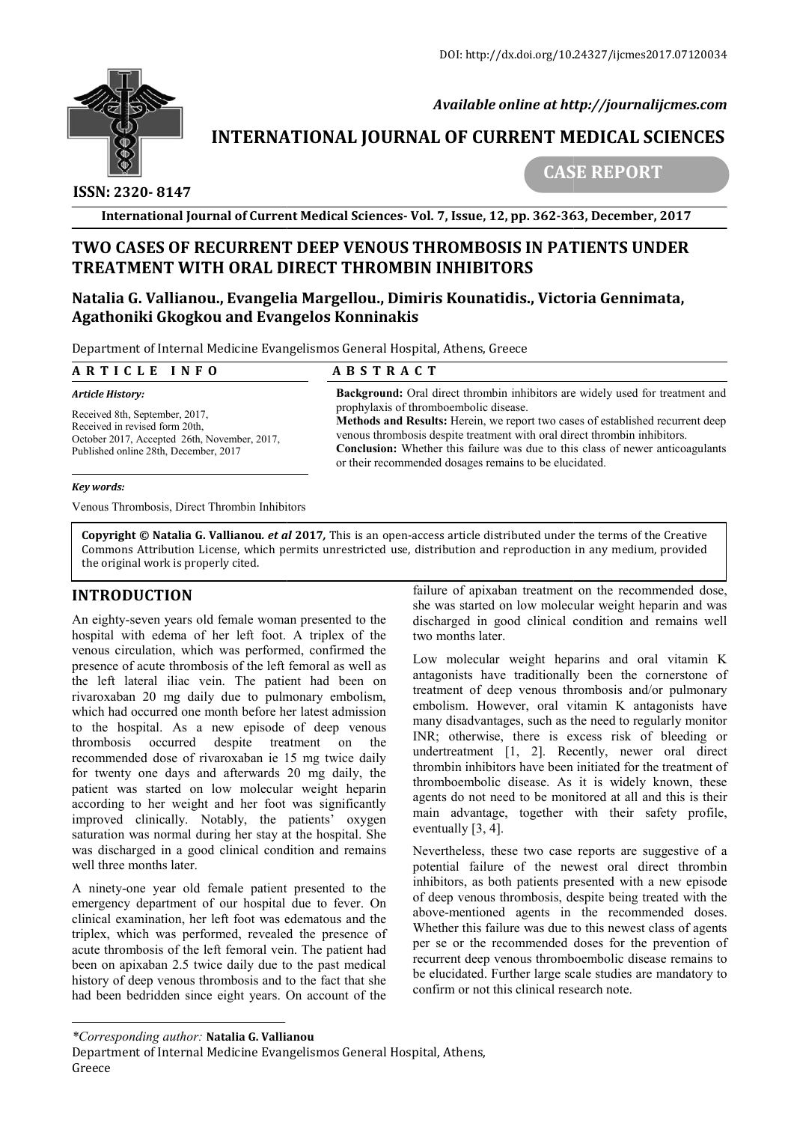

 *Available online at http://journalijcmes.com*

# **INTERNATIONAL JOURNAL OF CURRENT MEDICAL SCIENCES SCIENCES**

# **ISSN: 2320- 8147**

 **CASE REPORT**

**International Journal of Current Medical Sciences Sciences- Vol. 7, Issue, 12, pp. 362-363 363, December, 2017**

# **TWO CASES OF RECURRENT DEEP VENOUS THROMBOSIS IN PATIENTS UNDER RECURRENT DEEP VENOUS THROMBOSIS TREATMENT WITH ORAL DIRECT THROMBIN INHIBITORS**

## **Natalia G. Vallianou., Evangelia Margellou., Dimiris Kounatidis., Victoria Gennimata, Agathoniki Gkogkou and Evangelos Konninakis**

Department of Internal Medicine Evangelismos General Hospital, Athens, Greece

| ARTICLE INFO                                                                                                                                                                                                                                                                                                             | <b>ABSTRACT</b>                                                                                                                                                                                                                                                                                                                                                                        |                                                                                                                                                                                                                                                       |
|--------------------------------------------------------------------------------------------------------------------------------------------------------------------------------------------------------------------------------------------------------------------------------------------------------------------------|----------------------------------------------------------------------------------------------------------------------------------------------------------------------------------------------------------------------------------------------------------------------------------------------------------------------------------------------------------------------------------------|-------------------------------------------------------------------------------------------------------------------------------------------------------------------------------------------------------------------------------------------------------|
| <b>Article History:</b><br>Received 8th, September, 2017,<br>Received in revised form 20th,<br>October 2017, Accepted 26th, November, 2017,<br>Published online 28th, December, 2017                                                                                                                                     | <b>Background:</b> Oral direct thrombin inhibitors are widely used for treatment and<br>prophylaxis of thromboembolic disease.<br>Methods and Results: Herein, we report two cases of established recurrent deep<br>venous thrombosis despite treatment with oral direct thrombin inhibitors.<br><b>Conclusion:</b> Whether this failure was due to this class of newer anticoagulants |                                                                                                                                                                                                                                                       |
| Key words:                                                                                                                                                                                                                                                                                                               |                                                                                                                                                                                                                                                                                                                                                                                        | or their recommended dosages remains to be elucidated.                                                                                                                                                                                                |
| Venous Thrombosis, Direct Thrombin Inhibitors                                                                                                                                                                                                                                                                            |                                                                                                                                                                                                                                                                                                                                                                                        |                                                                                                                                                                                                                                                       |
| the original work is properly cited.                                                                                                                                                                                                                                                                                     |                                                                                                                                                                                                                                                                                                                                                                                        | <b>Copyright © Natalia G. Vallianou. et al 2017,</b> This is an open-access article distributed under the terms of the Creative<br>Commons Attribution License, which permits unrestricted use, distribution and reproduction in any medium, provided |
| <b>INTRODUCTION</b><br>An eighty-seven years old female woman presented to the<br>hospital with edema of her left foot. A triplex of the<br>venous circulation, which was performed, confirmed the<br>presence of acute thrombosis of the left femoral as well as<br>the left lateral iliac youn The patient had been on |                                                                                                                                                                                                                                                                                                                                                                                        | failure of apixaban treatment on the recommended dose,<br>she was started on low molecular weight heparin and was                                                                                                                                     |
|                                                                                                                                                                                                                                                                                                                          |                                                                                                                                                                                                                                                                                                                                                                                        | discharged in good clinical condition and remains well<br>two months later.                                                                                                                                                                           |
|                                                                                                                                                                                                                                                                                                                          |                                                                                                                                                                                                                                                                                                                                                                                        | Low molecular weight heparins and oral vitamin K<br>antagonists have traditionally been the cornerstone of                                                                                                                                            |

#### *Key words:*

### **INTRODUCTION**

An eighty-seven years old female woman presented to the hospital with edema of her left foot. A triplex of the venous circulation, which was performed, confirmed the presence of acute thrombosis of the left femoral as well as the left lateral iliac vein. The patient had been on rivaroxaban 20 mg daily due to pulmonary e which had occurred one month before her latest admission to the hospital. As a new episode of deep venous thrombosis occurred despite treatment on the recommended dose of rivaroxaban ie 15 mg twice daily for twenty one days and afterwards 20 mg daily, the patient was started on low molecular weight heparin according to her weight and her foot was significantly improved clinically. Notably, the patients' oxygen saturation was normal during her stay at the hospital. She was discharged in a good clinical condition and remains well three months later. seven years old female woman presented to the<br>ith edema of her left foot. A triplex of the<br>culation, which was performed, confirmed the<br>f acute thrombosis of the left femoral as well as<br>ateral iliac vein. The patient had b **DUCTION**<br>
failure of apixaban treatment on the recommended dose,<br>
seven years old female woman presented to the<br>
discharged in good cilinical condition and remains well<br>
with edena of her left front. A triplex of the come

A ninety-one year old female patient presented to the emergency department of our hospital due to fever. On clinical examination, her left foot was edematous and the triplex, which was performed, revealed the presence of acute thrombosis of the left femoral vein. The patient had been on apixaban 2.5 twice daily due to the past medical history of deep venous thrombosis and to the fact that she had been bedridden since eight years. On account of the Low molecular weight heparins and oral vitamin K antagonists have traditionally been the cornerstone of treatment of deep venous thrombosis and/or pulmonary embolism. However, oral vitamin K antagonists have many disadvantages, such as the need to regularly monitor treatment of deep venous thrombosis and/or pulmonary<br>embolism. However, oral vitamin K antagonists have<br>many disadvantages, such as the need to regularly monitor<br>INR; otherwise, there is excess risk of bleeding or undertreatment [1, 2]. Recently, newer oral direct undertreatment  $[1, 2]$ . Recently, newer oral direct thrombin inhibitors have been initiated for the treatment of thromboembolic disease. As it is widely known, these agents do not need to be monitored at all and this is their agents do not need to be monitored at all and this is their main advantage, together with their safety profile, eventually [3, 4].

Nevertheless, these two case reports are suggestive of a potential failure of the newest oral direct thrombin inhibitors, as both patients presented with a new episode of deep venous thrombosis, despite being treated with the above-mentioned agents in the recommended doses. Whether this failure was due to this newest class of agents per se or the recommended doses for the prevention of recurrent deep venous thromboembolic disease remains to be elucidated. Further large scale studies are mandatory to confirm or not this clinical research note. Nevertheless, these two case reports are suggestive of a potential failure of the newest oral direct thrombin inhibitors, as both patients presented with a new episode of deep venous thrombosis, despite being treated with

*<sup>\*</sup>Corresponding author:* **Natalia G. Vallianou**

Department of Internal Medicine Evangelismos General Hospital, Athens, Greece